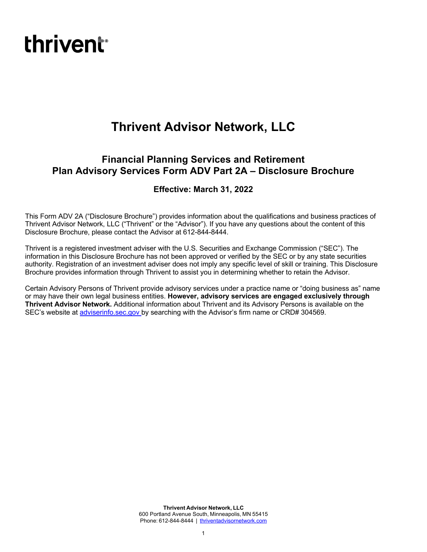# **thrivent**<sup>®</sup>

## **Thrivent Advisor Network, LLC**

### **Financial Planning Services and Retirement Plan Advisory Services Form ADV Part 2A – Disclosure Brochure**

### **Effective: March 31, 2022**

This Form ADV 2A ("Disclosure Brochure") provides information about the qualifications and business practices of Thrivent Advisor Network, LLC ("Thrivent" or the "Advisor"). If you have any questions about the content of this Disclosure Brochure, please contact the Advisor at 612-844-8444.

Thrivent is a registered investment adviser with the U.S. Securities and Exchange Commission ("SEC"). The information in this Disclosure Brochure has not been approved or verified by the SEC or by any state securities authority. Registration of an investment adviser does not imply any specific level of skill or training. This Disclosure Brochure provides information through Thrivent to assist you in determining whether to retain the Advisor.

Certain Advisory Persons of Thrivent provide advisory services under a practice name or "doing business as" name or may have their own legal business entities. **However, advisory services are engaged exclusively through Thrivent Advisor Network.** Additional information about Thrivent and its Advisory Persons is available on the SEC's website at adviserinfo.sec.gov by searching with the Advisor's firm name or CRD# 304569.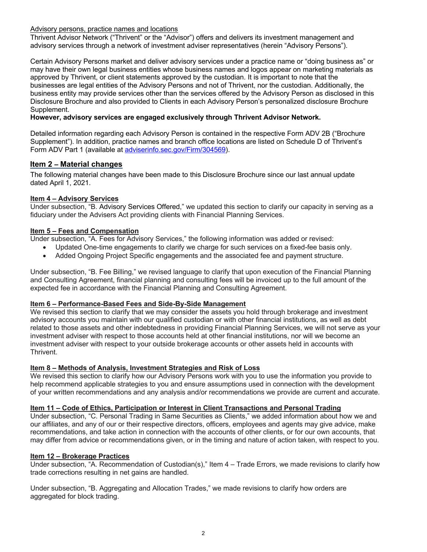### Advisory persons, practice names and locations

Thrivent Advisor Network ("Thrivent" or the "Advisor") offers and delivers its investment management and advisory services through a network of investment adviser representatives (herein "Advisory Persons").

Certain Advisory Persons market and deliver advisory services under a practice name or "doing business as" or may have their own legal business entities whose business names and logos appear on marketing materials as approved by Thrivent, or client statements approved by the custodian. It is important to note that the businesses are legal entities of the Advisory Persons and not of Thrivent, nor the custodian. Additionally, the business entity may provide services other than the services offered by the Advisory Person as disclosed in this Disclosure Brochure and also provided to Clients in each Advisory Person's personalized disclosure Brochure Supplement.

### **However, advisory services are engaged exclusively through Thrivent Advisor Network.**

Detailed information regarding each Advisory Person is contained in the respective Form ADV 2B ("Brochure Supplement"). In addition, practice names and branch office locations are listed on Schedule D of Thrivent's Form ADV Part 1 (available at adviserinfo.sec.gov/Firm/304569).

### **Item 2 – Material changes**

The following material changes have been made to this Disclosure Brochure since our last annual update dated April 1, 2021.

### **Item 4 – Advisory Services**

Under subsection, "B. Advisory Services Offered," we updated this section to clarify our capacity in serving as a fiduciary under the Advisers Act providing clients with Financial Planning Services.

### **Item 5 – Fees and Compensation**

Under subsection, "A. Fees for Advisory Services," the following information was added or revised:

- Updated One-time engagements to clarify we charge for such services on a fixed-fee basis only.
- Added Ongoing Project Specific engagements and the associated fee and payment structure.

Under subsection, "B. Fee Billing," we revised language to clarify that upon execution of the Financial Planning and Consulting Agreement, financial planning and consulting fees will be invoiced up to the full amount of the expected fee in accordance with the Financial Planning and Consulting Agreement.

### **Item 6 – Performance-Based Fees and Side-By-Side Management**

We revised this section to clarify that we may consider the assets you hold through brokerage and investment advisory accounts you maintain with our qualified custodian or with other financial institutions, as well as debt related to those assets and other indebtedness in providing Financial Planning Services, we will not serve as your investment adviser with respect to those accounts held at other financial institutions, nor will we become an investment adviser with respect to your outside brokerage accounts or other assets held in accounts with Thrivent.

### **Item 8 – Methods of Analysis, Investment Strategies and Risk of Loss**

We revised this section to clarify how our Advisory Persons work with you to use the information you provide to help recommend applicable strategies to you and ensure assumptions used in connection with the development of your written recommendations and any analysis and/or recommendations we provide are current and accurate.

### **Item 11 – Code of Ethics, Participation or Interest in Client Transactions and Personal Trading**

Under subsection, "C. Personal Trading in Same Securities as Clients," we added information about how we and our affiliates, and any of our or their respective directors, officers, employees and agents may give advice, make recommendations, and take action in connection with the accounts of other clients, or for our own accounts, that may differ from advice or recommendations given, or in the timing and nature of action taken, with respect to you.

### **Item 12 – Brokerage Practices**

Under subsection, "A. Recommendation of Custodian(s)," Item 4 – Trade Errors, we made revisions to clarify how trade corrections resulting in net gains are handled.

Under subsection, "B. Aggregating and Allocation Trades," we made revisions to clarify how orders are aggregated for block trading.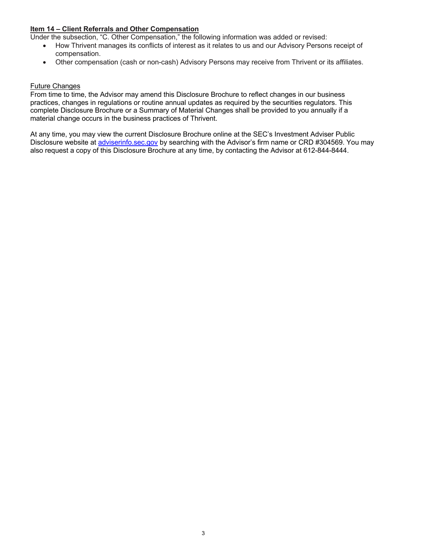### **Item 14 – Client Referrals and Other Compensation**

Under the subsection, "C. Other Compensation," the following information was added or revised:

- How Thrivent manages its conflicts of interest as it relates to us and our Advisory Persons receipt of compensation.
- Other compensation (cash or non-cash) Advisory Persons may receive from Thrivent or its affiliates.

### Future Changes

From time to time, the Advisor may amend this Disclosure Brochure to reflect changes in our business practices, changes in regulations or routine annual updates as required by the securities regulators. This complete Disclosure Brochure or a Summary of Material Changes shall be provided to you annually if a material change occurs in the business practices of Thrivent.

At any time, you may view the current Disclosure Brochure online at the SEC's Investment Adviser Public Disclosure website at adviserinfo.sec.gov by searching with the Advisor's firm name or CRD #304569. You may also request a copy of this Disclosure Brochure at any time, by contacting the Advisor at 612-844-8444.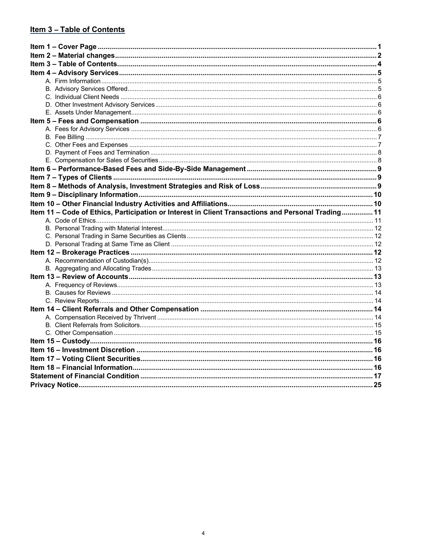### Item 3 - Table of Contents

| Item 11 - Code of Ethics, Participation or Interest in Client Transactions and Personal Trading 11 |  |
|----------------------------------------------------------------------------------------------------|--|
|                                                                                                    |  |
|                                                                                                    |  |
|                                                                                                    |  |
|                                                                                                    |  |
|                                                                                                    |  |
|                                                                                                    |  |
|                                                                                                    |  |
|                                                                                                    |  |
|                                                                                                    |  |
|                                                                                                    |  |
|                                                                                                    |  |
|                                                                                                    |  |
|                                                                                                    |  |
|                                                                                                    |  |
|                                                                                                    |  |
|                                                                                                    |  |
|                                                                                                    |  |
|                                                                                                    |  |
|                                                                                                    |  |
|                                                                                                    |  |
|                                                                                                    |  |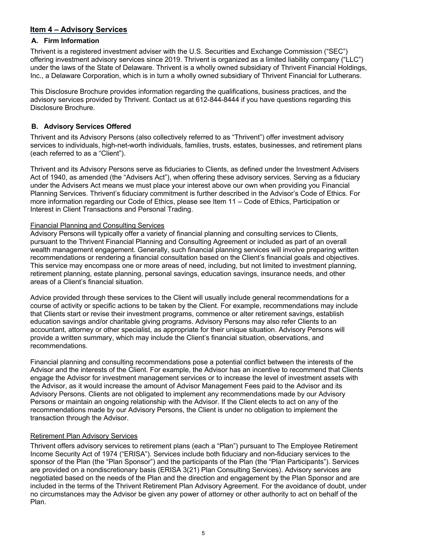### **Item 4 – Advisory Services**

### **A. Firm Information**

Thrivent is a registered investment adviser with the U.S. Securities and Exchange Commission ("SEC") offering investment advisory services since 2019. Thrivent is organized as a limited liability company ("LLC") under the laws of the State of Delaware. Thrivent is a wholly owned subsidiary of Thrivent Financial Holdings, Inc., a Delaware Corporation, which is in turn a wholly owned subsidiary of Thrivent Financial for Lutherans.

This Disclosure Brochure provides information regarding the qualifications, business practices, and the advisory services provided by Thrivent. Contact us at 612-844-8444 if you have questions regarding this Disclosure Brochure.

### **B. Advisory Services Offered**

Thrivent and its Advisory Persons (also collectively referred to as "Thrivent") offer investment advisory services to individuals, high-net-worth individuals, families, trusts, estates, businesses, and retirement plans (each referred to as a "Client").

Thrivent and its Advisory Persons serve as fiduciaries to Clients, as defined under the Investment Advisers Act of 1940, as amended (the "Advisers Act"), when offering these advisory services. Serving as a fiduciary under the Advisers Act means we must place your interest above our own when providing you Financial Planning Services. Thrivent's fiduciary commitment is further described in the Advisor's Code of Ethics. For more information regarding our Code of Ethics, please see Item 11 – Code of Ethics, Participation or Interest in Client Transactions and Personal Trading.

### Financial Planning and Consulting Services

Advisory Persons will typically offer a variety of financial planning and consulting services to Clients, pursuant to the Thrivent Financial Planning and Consulting Agreement or included as part of an overall wealth management engagement. Generally, such financial planning services will involve preparing written recommendations or rendering a financial consultation based on the Client's financial goals and objectives. This service may encompass one or more areas of need, including, but not limited to investment planning, retirement planning, estate planning, personal savings, education savings, insurance needs, and other areas of a Client's financial situation.

Advice provided through these services to the Client will usually include general recommendations for a course of activity or specific actions to be taken by the Client. For example, recommendations may include that Clients start or revise their investment programs, commence or alter retirement savings, establish education savings and/or charitable giving programs. Advisory Persons may also refer Clients to an accountant, attorney or other specialist, as appropriate for their unique situation. Advisory Persons will provide a written summary, which may include the Client's financial situation, observations, and recommendations.

Financial planning and consulting recommendations pose a potential conflict between the interests of the Advisor and the interests of the Client. For example, the Advisor has an incentive to recommend that Clients engage the Advisor for investment management services or to increase the level of investment assets with the Advisor, as it would increase the amount of Advisor Management Fees paid to the Advisor and its Advisory Persons. Clients are not obligated to implement any recommendations made by our Advisory Persons or maintain an ongoing relationship with the Advisor. If the Client elects to act on any of the recommendations made by our Advisory Persons, the Client is under no obligation to implement the transaction through the Advisor.

### Retirement Plan Advisory Services

Thrivent offers advisory services to retirement plans (each a "Plan") pursuant to The Employee Retirement Income Security Act of 1974 ("ERISA"). Services include both fiduciary and non-fiduciary services to the sponsor of the Plan (the "Plan Sponsor") and the participants of the Plan (the "Plan Participants"). Services are provided on a nondiscretionary basis (ERISA 3(21) Plan Consulting Services). Advisory services are negotiated based on the needs of the Plan and the direction and engagement by the Plan Sponsor and are included in the terms of the Thrivent Retirement Plan Advisory Agreement. For the avoidance of doubt, under no circumstances may the Advisor be given any power of attorney or other authority to act on behalf of the Plan.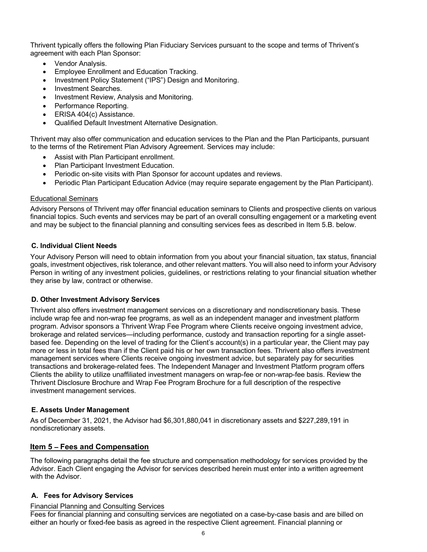Thrivent typically offers the following Plan Fiduciary Services pursuant to the scope and terms of Thrivent's agreement with each Plan Sponsor:

- Vendor Analysis.
- Employee Enrollment and Education Tracking.
- Investment Policy Statement ("IPS") Design and Monitoring.
- Investment Searches.
- Investment Review, Analysis and Monitoring.
- Performance Reporting.
- ERISA 404(c) Assistance.
- Qualified Default Investment Alternative Designation.

Thrivent may also offer communication and education services to the Plan and the Plan Participants, pursuant to the terms of the Retirement Plan Advisory Agreement. Services may include:

- Assist with Plan Participant enrollment.
- Plan Participant Investment Education.
- Periodic on-site visits with Plan Sponsor for account updates and reviews.
- Periodic Plan Participant Education Advice (may require separate engagement by the Plan Participant).

### Educational Seminars

Advisory Persons of Thrivent may offer financial education seminars to Clients and prospective clients on various financial topics. Such events and services may be part of an overall consulting engagement or a marketing event and may be subject to the financial planning and consulting services fees as described in Item 5.B. below.

### **C. Individual Client Needs**

Your Advisory Person will need to obtain information from you about your financial situation, tax status, financial goals, investment objectives, risk tolerance, and other relevant matters. You will also need to inform your Advisory Person in writing of any investment policies, guidelines, or restrictions relating to your financial situation whether they arise by law, contract or otherwise.

### **D. Other Investment Advisory Services**

Thrivent also offers investment management services on a discretionary and nondiscretionary basis. These include wrap fee and non-wrap fee programs, as well as an independent manager and investment platform program. Advisor sponsors a Thrivent Wrap Fee Program where Clients receive ongoing investment advice, brokerage and related services—including performance, custody and transaction reporting for a single assetbased fee. Depending on the level of trading for the Client's account(s) in a particular year, the Client may pay more or less in total fees than if the Client paid his or her own transaction fees. Thrivent also offers investment management services where Clients receive ongoing investment advice, but separately pay for securities transactions and brokerage-related fees. The Independent Manager and Investment Platform program offers Clients the ability to utilize unaffiliated investment managers on wrap-fee or non-wrap-fee basis. Review the Thrivent Disclosure Brochure and Wrap Fee Program Brochure for a full description of the respective investment management services.

### **E. Assets Under Management**

As of December 31, 2021, the Advisor had \$6,301,880,041 in discretionary assets and \$227,289,191 in nondiscretionary assets.

### **Item 5 – Fees and Compensation**

The following paragraphs detail the fee structure and compensation methodology for services provided by the Advisor. Each Client engaging the Advisor for services described herein must enter into a written agreement with the Advisor.

### **A. Fees for Advisory Services**

### Financial Planning and Consulting Services

Fees for financial planning and consulting services are negotiated on a case-by-case basis and are billed on either an hourly or fixed-fee basis as agreed in the respective Client agreement. Financial planning or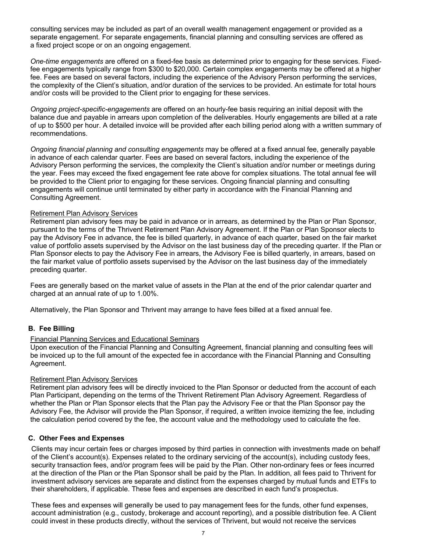consulting services may be included as part of an overall wealth management engagement or provided as a separate engagement. For separate engagements, financial planning and consulting services are offered as a fixed project scope or on an ongoing engagement.

*One-time engagements* are offered on a fixed-fee basis as determined prior to engaging for these services. Fixedfee engagements typically range from \$300 to \$20,000. Certain complex engagements may be offered at a higher fee. Fees are based on several factors, including the experience of the Advisory Person performing the services, the complexity of the Client's situation, and/or duration of the services to be provided. An estimate for total hours and/or costs will be provided to the Client prior to engaging for these services.

*Ongoing project-specific-engagements* are offered on an hourly-fee basis requiring an initial deposit with the balance due and payable in arrears upon completion of the deliverables. Hourly engagements are billed at a rate of up to \$500 per hour. A detailed invoice will be provided after each billing period along with a written summary of recommendations.

*Ongoing financial planning and consulting engagements* may be offered at a fixed annual fee, generally payable in advance of each calendar quarter. Fees are based on several factors, including the experience of the Advisory Person performing the services, the complexity the Client's situation and/or number or meetings during the year. Fees may exceed the fixed engagement fee rate above for complex situations. The total annual fee will be provided to the Client prior to engaging for these services. Ongoing financial planning and consulting engagements will continue until terminated by either party in accordance with the Financial Planning and Consulting Agreement.

### Retirement Plan Advisory Services

Retirement plan advisory fees may be paid in advance or in arrears, as determined by the Plan or Plan Sponsor, pursuant to the terms of the Thrivent Retirement Plan Advisory Agreement. If the Plan or Plan Sponsor elects to pay the Advisory Fee in advance, the fee is billed quarterly, in advance of each quarter, based on the fair market value of portfolio assets supervised by the Advisor on the last business day of the preceding quarter. If the Plan or Plan Sponsor elects to pay the Advisory Fee in arrears, the Advisory Fee is billed quarterly, in arrears, based on the fair market value of portfolio assets supervised by the Advisor on the last business day of the immediately preceding quarter.

Fees are generally based on the market value of assets in the Plan at the end of the prior calendar quarter and charged at an annual rate of up to 1.00%.

Alternatively, the Plan Sponsor and Thrivent may arrange to have fees billed at a fixed annual fee.

### **B. Fee Billing**

### Financial Planning Services and Educational Seminars

Upon execution of the Financial Planning and Consulting Agreement, financial planning and consulting fees will be invoiced up to the full amount of the expected fee in accordance with the Financial Planning and Consulting Agreement.

### Retirement Plan Advisory Services

Retirement plan advisory fees will be directly invoiced to the Plan Sponsor or deducted from the account of each Plan Participant, depending on the terms of the Thrivent Retirement Plan Advisory Agreement. Regardless of whether the Plan or Plan Sponsor elects that the Plan pay the Advisory Fee or that the Plan Sponsor pay the Advisory Fee, the Advisor will provide the Plan Sponsor, if required, a written invoice itemizing the fee, including the calculation period covered by the fee, the account value and the methodology used to calculate the fee.

### **C. Other Fees and Expenses**

Clients may incur certain fees or charges imposed by third parties in connection with investments made on behalf of the Client's account(s). Expenses related to the ordinary servicing of the account(s), including custody fees, security transaction fees, and/or program fees will be paid by the Plan. Other non-ordinary fees or fees incurred at the direction of the Plan or the Plan Sponsor shall be paid by the Plan. In addition, all fees paid to Thrivent for investment advisory services are separate and distinct from the expenses charged by mutual funds and ETFs to their shareholders, if applicable. These fees and expenses are described in each fund's prospectus.

These fees and expenses will generally be used to pay management fees for the funds, other fund expenses, account administration (e.g., custody, brokerage and account reporting), and a possible distribution fee. A Client could invest in these products directly, without the services of Thrivent, but would not receive the services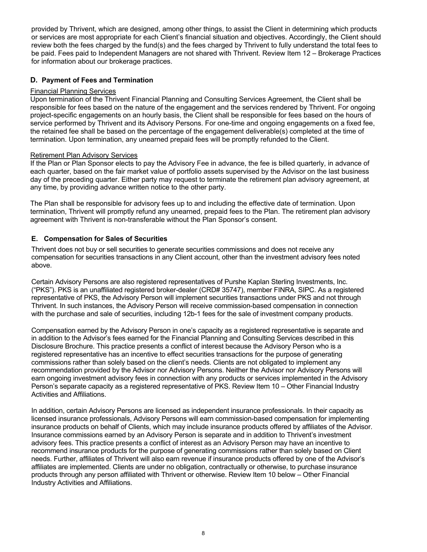provided by Thrivent, which are designed, among other things, to assist the Client in determining which products or services are most appropriate for each Client's financial situation and objectives. Accordingly, the Client should review both the fees charged by the fund(s) and the fees charged by Thrivent to fully understand the total fees to be paid. Fees paid to Independent Managers are not shared with Thrivent. Review Item 12 – Brokerage Practices for information about our brokerage practices.

### **D. Payment of Fees and Termination**

### Financial Planning Services

Upon termination of the Thrivent Financial Planning and Consulting Services Agreement, the Client shall be responsible for fees based on the nature of the engagement and the services rendered by Thrivent. For ongoing project-specific engagements on an hourly basis, the Client shall be responsible for fees based on the hours of service performed by Thrivent and its Advisory Persons. For one-time and ongoing engagements on a fixed fee, the retained fee shall be based on the percentage of the engagement deliverable(s) completed at the time of termination. Upon termination, any unearned prepaid fees will be promptly refunded to the Client.

### Retirement Plan Advisory Services

If the Plan or Plan Sponsor elects to pay the Advisory Fee in advance, the fee is billed quarterly, in advance of each quarter, based on the fair market value of portfolio assets supervised by the Advisor on the last business day of the preceding quarter. Either party may request to terminate the retirement plan advisory agreement, at any time, by providing advance written notice to the other party.

The Plan shall be responsible for advisory fees up to and including the effective date of termination. Upon termination, Thrivent will promptly refund any unearned, prepaid fees to the Plan. The retirement plan advisory agreement with Thrivent is non-transferable without the Plan Sponsor's consent.

### **E. Compensation for Sales of Securities**

Thrivent does not buy or sell securities to generate securities commissions and does not receive any compensation for securities transactions in any Client account, other than the investment advisory fees noted above.

Certain Advisory Persons are also registered representatives of Purshe Kaplan Sterling Investments, Inc. ("PKS"). PKS is an unaffiliated registered broker-dealer (CRD# 35747), member FINRA, SIPC. As a registered representative of PKS, the Advisory Person will implement securities transactions under PKS and not through Thrivent. In such instances, the Advisory Person will receive commission-based compensation in connection with the purchase and sale of securities, including 12b-1 fees for the sale of investment company products.

Compensation earned by the Advisory Person in one's capacity as a registered representative is separate and in addition to the Advisor's fees earned for the Financial Planning and Consulting Services described in this Disclosure Brochure. This practice presents a conflict of interest because the Advisory Person who is a registered representative has an incentive to effect securities transactions for the purpose of generating commissions rather than solely based on the client's needs. Clients are not obligated to implement any recommendation provided by the Advisor nor Advisory Persons. Neither the Advisor nor Advisory Persons will earn ongoing investment advisory fees in connection with any products or services implemented in the Advisory Person's separate capacity as a registered representative of PKS. Review Item 10 – Other Financial Industry Activities and Affiliations.

In addition, certain Advisory Persons are licensed as independent insurance professionals. In their capacity as licensed insurance professionals, Advisory Persons will earn commission-based compensation for implementing insurance products on behalf of Clients, which may include insurance products offered by affiliates of the Advisor. Insurance commissions earned by an Advisory Person is separate and in addition to Thrivent's investment advisory fees. This practice presents a conflict of interest as an Advisory Person may have an incentive to recommend insurance products for the purpose of generating commissions rather than solely based on Client needs. Further, affiliates of Thrivent will also earn revenue if insurance products offered by one of the Advisor's affiliates are implemented. Clients are under no obligation, contractually or otherwise, to purchase insurance products through any person affiliated with Thrivent or otherwise. Review Item 10 below – Other Financial Industry Activities and Affiliations.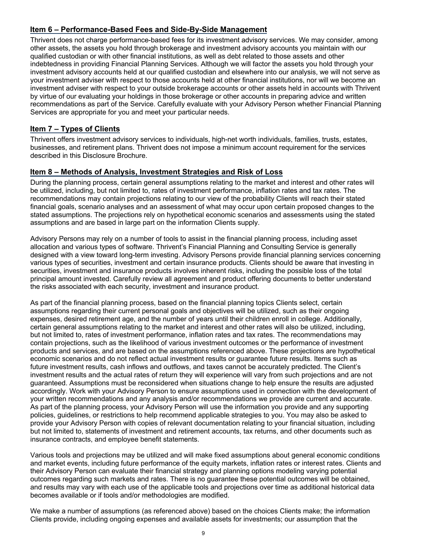### **Item 6 – Performance-Based Fees and Side-By-Side Management**

Thrivent does not charge performance-based fees for its investment advisory services. We may consider, among other assets, the assets you hold through brokerage and investment advisory accounts you maintain with our qualified custodian or with other financial institutions, as well as debt related to those assets and other indebtedness in providing Financial Planning Services. Although we will factor the assets you hold through your investment advisory accounts held at our qualified custodian and elsewhere into our analysis, we will not serve as your investment adviser with respect to those accounts held at other financial institutions, nor will we become an investment adviser with respect to your outside brokerage accounts or other assets held in accounts with Thrivent by virtue of our evaluating your holdings in those brokerage or other accounts in preparing advice and written recommendations as part of the Service. Carefully evaluate with your Advisory Person whether Financial Planning Services are appropriate for you and meet your particular needs.

### **Item 7 – Types of Clients**

Thrivent offers investment advisory services to individuals, high-net worth individuals, families, trusts, estates, businesses, and retirement plans. Thrivent does not impose a minimum account requirement for the services described in this Disclosure Brochure.

### **Item 8 – Methods of Analysis, Investment Strategies and Risk of Loss**

During the planning process, certain general assumptions relating to the market and interest and other rates will be utilized, including, but not limited to, rates of investment performance, inflation rates and tax rates. The recommendations may contain projections relating to our view of the probability Clients will reach their stated financial goals, scenario analyses and an assessment of what may occur upon certain proposed changes to the stated assumptions. The projections rely on hypothetical economic scenarios and assessments using the stated assumptions and are based in large part on the information Clients supply.

Advisory Persons may rely on a number of tools to assist in the financial planning process, including asset allocation and various types of software. Thrivent's Financial Planning and Consulting Service is generally designed with a view toward long-term investing. Advisory Persons provide financial planning services concerning various types of securities, investment and certain insurance products. Clients should be aware that investing in securities, investment and insurance products involves inherent risks, including the possible loss of the total principal amount invested. Carefully review all agreement and product offering documents to better understand the risks associated with each security, investment and insurance product.

As part of the financial planning process, based on the financial planning topics Clients select, certain assumptions regarding their current personal goals and objectives will be utilized, such as their ongoing expenses, desired retirement age, and the number of years until their children enroll in college. Additionally, certain general assumptions relating to the market and interest and other rates will also be utilized, including, but not limited to, rates of investment performance, inflation rates and tax rates. The recommendations may contain projections, such as the likelihood of various investment outcomes or the performance of investment products and services, and are based on the assumptions referenced above. These projections are hypothetical economic scenarios and do not reflect actual investment results or guarantee future results. Items such as future investment results, cash inflows and outflows, and taxes cannot be accurately predicted. The Client's investment results and the actual rates of return they will experience will vary from such projections and are not guaranteed. Assumptions must be reconsidered when situations change to help ensure the results are adjusted accordingly. Work with your Advisory Person to ensure assumptions used in connection with the development of your written recommendations and any analysis and/or recommendations we provide are current and accurate. As part of the planning process, your Advisory Person will use the information you provide and any supporting policies, guidelines, or restrictions to help recommend applicable strategies to you. You may also be asked to provide your Advisory Person with copies of relevant documentation relating to your financial situation, including but not limited to, statements of investment and retirement accounts, tax returns, and other documents such as insurance contracts, and employee benefit statements.

Various tools and projections may be utilized and will make fixed assumptions about general economic conditions and market events, including future performance of the equity markets, inflation rates or interest rates. Clients and their Advisory Person can evaluate their financial strategy and planning options modeling varying potential outcomes regarding such markets and rates. There is no guarantee these potential outcomes will be obtained, and results may vary with each use of the applicable tools and projections over time as additional historical data becomes available or if tools and/or methodologies are modified.

We make a number of assumptions (as referenced above) based on the choices Clients make; the information Clients provide, including ongoing expenses and available assets for investments; our assumption that the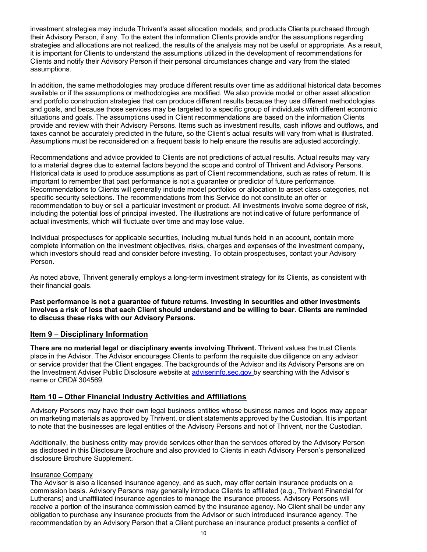investment strategies may include Thrivent's asset allocation models; and products Clients purchased through their Advisory Person, if any. To the extent the information Clients provide and/or the assumptions regarding strategies and allocations are not realized, the results of the analysis may not be useful or appropriate. As a result, it is important for Clients to understand the assumptions utilized in the development of recommendations for Clients and notify their Advisory Person if their personal circumstances change and vary from the stated assumptions.

In addition, the same methodologies may produce different results over time as additional historical data becomes available or if the assumptions or methodologies are modified. We also provide model or other asset allocation and portfolio construction strategies that can produce different results because they use different methodologies and goals, and because those services may be targeted to a specific group of individuals with different economic situations and goals. The assumptions used in Client recommendations are based on the information Clients provide and review with their Advisory Persons. Items such as investment results, cash inflows and outflows, and taxes cannot be accurately predicted in the future, so the Client's actual results will vary from what is illustrated. Assumptions must be reconsidered on a frequent basis to help ensure the results are adjusted accordingly.

Recommendations and advice provided to Clients are not predictions of actual results. Actual results may vary to a material degree due to external factors beyond the scope and control of Thrivent and Advisory Persons. Historical data is used to produce assumptions as part of Client recommendations, such as rates of return. It is important to remember that past performance is not a guarantee or predictor of future performance. Recommendations to Clients will generally include model portfolios or allocation to asset class categories, not specific security selections. The recommendations from this Service do not constitute an offer or recommendation to buy or sell a particular investment or product. All investments involve some degree of risk, including the potential loss of principal invested. The illustrations are not indicative of future performance of actual investments, which will fluctuate over time and may lose value.

Individual prospectuses for applicable securities, including mutual funds held in an account, contain more complete information on the investment objectives, risks, charges and expenses of the investment company, which investors should read and consider before investing. To obtain prospectuses, contact your Advisory Person.

As noted above, Thrivent generally employs a long-term investment strategy for its Clients, as consistent with their financial goals.

**Past performance is not a guarantee of future returns. Investing in securities and other investments involves a risk of loss that each Client should understand and be willing to bear. Clients are reminded to discuss these risks with our Advisory Persons.**

### **Item 9 – Disciplinary Information**

**There are no material legal or disciplinary events involving Thrivent.** Thrivent values the trust Clients place in the Advisor. The Advisor encourages Clients to perform the requisite due diligence on any advisor or service provider that the Client engages. The backgrounds of the Advisor and its Advisory Persons are on the Investment Adviser Public Disclosure website at adviserinfo.sec.gov by searching with the Advisor's name or CRD# 304569.

### **Item 10 – Other Financial Industry Activities and Affiliations**

Advisory Persons may have their own legal business entities whose business names and logos may appear on marketing materials as approved by Thrivent, or client statements approved by the Custodian. It is important to note that the businesses are legal entities of the Advisory Persons and not of Thrivent, nor the Custodian.

Additionally, the business entity may provide services other than the services offered by the Advisory Person as disclosed in this Disclosure Brochure and also provided to Clients in each Advisory Person's personalized disclosure Brochure Supplement.

### Insurance Company

The Advisor is also a licensed insurance agency, and as such, may offer certain insurance products on a commission basis. Advisory Persons may generally introduce Clients to affiliated (e.g., Thrivent Financial for Lutherans) and unaffiliated insurance agencies to manage the insurance process. Advisory Persons will receive a portion of the insurance commission earned by the insurance agency. No Client shall be under any obligation to purchase any insurance products from the Advisor or such introduced insurance agency. The recommendation by an Advisory Person that a Client purchase an insurance product presents a conflict of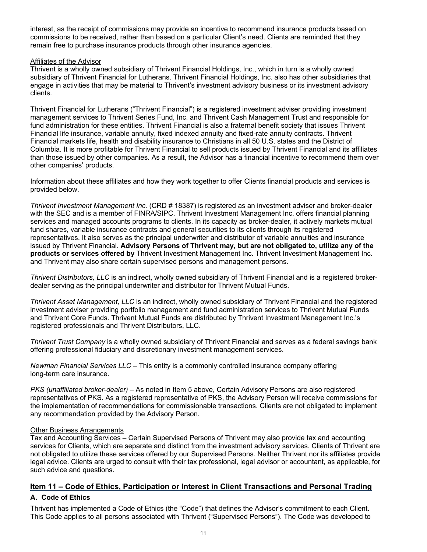interest, as the receipt of commissions may provide an incentive to recommend insurance products based on commissions to be received, rather than based on a particular Client's need. Clients are reminded that they remain free to purchase insurance products through other insurance agencies.

### Affiliates of the Advisor

Thrivent is a wholly owned subsidiary of Thrivent Financial Holdings, Inc., which in turn is a wholly owned subsidiary of Thrivent Financial for Lutherans. Thrivent Financial Holdings, Inc. also has other subsidiaries that engage in activities that may be material to Thrivent's investment advisory business or its investment advisory clients.

Thrivent Financial for Lutherans ("Thrivent Financial") is a registered investment adviser providing investment management services to Thrivent Series Fund, Inc. and Thrivent Cash Management Trust and responsible for fund administration for these entities. Thrivent Financial is also a fraternal benefit society that issues Thrivent Financial life insurance, variable annuity, fixed indexed annuity and fixed-rate annuity contracts. Thrivent Financial markets life, health and disability insurance to Christians in all 50 U.S. states and the District of Columbia. It is more profitable for Thrivent Financial to sell products issued by Thrivent Financial and its affiliates than those issued by other companies. As a result, the Advisor has a financial incentive to recommend them over other companies' products.

Information about these affiliates and how they work together to offer Clients financial products and services is provided below.

*Thrivent Investment Management Inc.* (CRD # 18387) is registered as an investment adviser and broker-dealer with the SEC and is a member of FINRA/SIPC. Thrivent Investment Management Inc. offers financial planning services and managed accounts programs to clients. In its capacity as broker-dealer, it actively markets mutual fund shares, variable insurance contracts and general securities to its clients through its registered representatives. It also serves as the principal underwriter and distributor of variable annuities and insurance issued by Thrivent Financial. **Advisory Persons of Thrivent may, but are not obligated to, utilize any of the products or services offered by** Thrivent Investment Management Inc. Thrivent Investment Management Inc. and Thrivent may also share certain supervised persons and management persons.

*Thrivent Distributors, LLC* is an indirect, wholly owned subsidiary of Thrivent Financial and is a registered brokerdealer serving as the principal underwriter and distributor for Thrivent Mutual Funds.

*Thrivent Asset Management, LLC* is an indirect, wholly owned subsidiary of Thrivent Financial and the registered investment adviser providing portfolio management and fund administration services to Thrivent Mutual Funds and Thrivent Core Funds. Thrivent Mutual Funds are distributed by Thrivent Investment Management Inc.'s registered professionals and Thrivent Distributors, LLC.

*Thrivent Trust Company* is a wholly owned subsidiary of Thrivent Financial and serves as a federal savings bank offering professional fiduciary and discretionary investment management services.

*Newman Financial Services LLC* – This entity is a commonly controlled insurance company offering long-term care insurance.

*PKS (unaffiliated broker-dealer)* – As noted in Item 5 above, Certain Advisory Persons are also registered representatives of PKS. As a registered representative of PKS, the Advisory Person will receive commissions for the implementation of recommendations for commissionable transactions. Clients are not obligated to implement any recommendation provided by the Advisory Person.

### Other Business Arrangements

Tax and Accounting Services – Certain Supervised Persons of Thrivent may also provide tax and accounting services for Clients, which are separate and distinct from the investment advisory services. Clients of Thrivent are not obligated to utilize these services offered by our Supervised Persons. Neither Thrivent nor its affiliates provide legal advice. Clients are urged to consult with their tax professional, legal advisor or accountant, as applicable, for such advice and questions.

### **Item 11 – Code of Ethics, Participation or Interest in Client Transactions and Personal Trading**

### **A. Code of Ethics**

Thrivent has implemented a Code of Ethics (the "Code") that defines the Advisor's commitment to each Client. This Code applies to all persons associated with Thrivent ("Supervised Persons"). The Code was developed to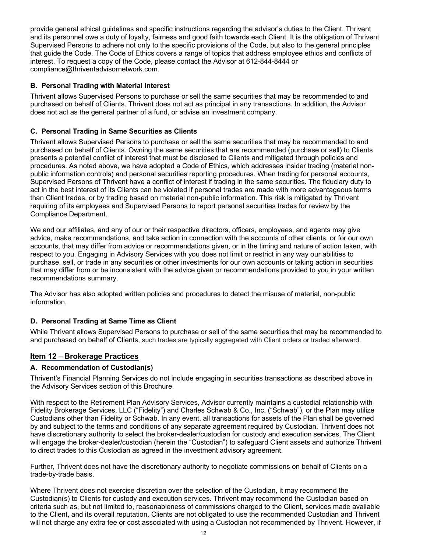provide general ethical guidelines and specific instructions regarding the advisor's duties to the Client. Thrivent and its personnel owe a duty of loyalty, fairness and good faith towards each Client. It is the obligation of Thrivent Supervised Persons to adhere not only to the specific provisions of the Code, but also to the general principles that guide the Code. The Code of Ethics covers a range of topics that address employee ethics and conflicts of interest. To request a copy of the Code, please contact the Advisor at 612-844-8444 or compliance@thriventadvisornetwork.com.

### **B. Personal Trading with Material Interest**

Thrivent allows Supervised Persons to purchase or sell the same securities that may be recommended to and purchased on behalf of Clients. Thrivent does not act as principal in any transactions. In addition, the Advisor does not act as the general partner of a fund, or advise an investment company.

### **C. Personal Trading in Same Securities as Clients**

Thrivent allows Supervised Persons to purchase or sell the same securities that may be recommended to and purchased on behalf of Clients. Owning the same securities that are recommended (purchase or sell) to Clients presents a potential conflict of interest that must be disclosed to Clients and mitigated through policies and procedures. As noted above, we have adopted a Code of Ethics, which addresses insider trading (material nonpublic information controls) and personal securities reporting procedures. When trading for personal accounts, Supervised Persons of Thrivent have a conflict of interest if trading in the same securities. The fiduciary duty to act in the best interest of its Clients can be violated if personal trades are made with more advantageous terms than Client trades, or by trading based on material non-public information. This risk is mitigated by Thrivent requiring of its employees and Supervised Persons to report personal securities trades for review by the Compliance Department.

We and our affiliates, and any of our or their respective directors, officers, employees, and agents may give advice, make recommendations, and take action in connection with the accounts of other clients, or for our own accounts, that may differ from advice or recommendations given, or in the timing and nature of action taken, with respect to you. Engaging in Advisory Services with you does not limit or restrict in any way our abilities to purchase, sell, or trade in any securities or other investments for our own accounts or taking action in securities that may differ from or be inconsistent with the advice given or recommendations provided to you in your written recommendations summary.

The Advisor has also adopted written policies and procedures to detect the misuse of material, non-public information.

### **D. Personal Trading at Same Time as Client**

While Thrivent allows Supervised Persons to purchase or sell of the same securities that may be recommended to and purchased on behalf of Clients, such trades are typically aggregated with Client orders or traded afterward.

### **Item 12 – Brokerage Practices**

### **A. Recommendation of Custodian(s)**

Thrivent's Financial Planning Services do not include engaging in securities transactions as described above in the Advisory Services section of this Brochure.

With respect to the Retirement Plan Advisory Services, Advisor currently maintains a custodial relationship with Fidelity Brokerage Services, LLC ("Fidelity") and Charles Schwab & Co., Inc. ("Schwab"), or the Plan may utilize Custodians other than Fidelity or Schwab. In any event, all transactions for assets of the Plan shall be governed by and subject to the terms and conditions of any separate agreement required by Custodian. Thrivent does not have discretionary authority to select the broker-dealer/custodian for custody and execution services. The Client will engage the broker-dealer/custodian (herein the "Custodian") to safeguard Client assets and authorize Thrivent to direct trades to this Custodian as agreed in the investment advisory agreement.

Further, Thrivent does not have the discretionary authority to negotiate commissions on behalf of Clients on a trade-by-trade basis.

Where Thrivent does not exercise discretion over the selection of the Custodian, it may recommend the Custodian(s) to Clients for custody and execution services. Thrivent may recommend the Custodian based on criteria such as, but not limited to, reasonableness of commissions charged to the Client, services made available to the Client, and its overall reputation. Clients are not obligated to use the recommended Custodian and Thrivent will not charge any extra fee or cost associated with using a Custodian not recommended by Thrivent. However, if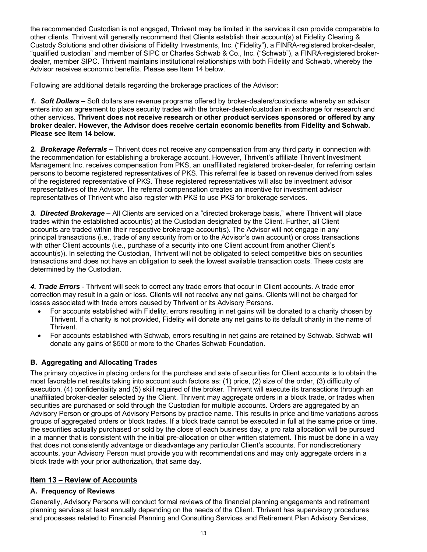the recommended Custodian is not engaged, Thrivent may be limited in the services it can provide comparable to other clients. Thrivent will generally recommend that Clients establish their account(s) at Fidelity Clearing & Custody Solutions and other divisions of Fidelity Investments, Inc. ("Fidelity"), a FINRA-registered broker-dealer, "qualified custodian" and member of SIPC or Charles Schwab & Co., Inc. ("Schwab"), a FINRA-registered brokerdealer, member SIPC. Thrivent maintains institutional relationships with both Fidelity and Schwab, whereby the Advisor receives economic benefits. Please see Item 14 below.

Following are additional details regarding the brokerage practices of the Advisor:

*1. Soft Dollars –* Soft dollars are revenue programs offered by broker-dealers/custodians whereby an advisor enters into an agreement to place security trades with the broker-dealer/custodian in exchange for research and other services. **Thrivent does not receive research or other product services sponsored or offered by any broker dealer. However, the Advisor does receive certain economic benefits from Fidelity and Schwab. Please see Item 14 below.**

*2. Brokerage Referrals –* Thrivent does not receive any compensation from any third party in connection with the recommendation for establishing a brokerage account. However, Thrivent's affiliate Thrivent Investment Management Inc. receives compensation from PKS, an unaffiliated registered broker-dealer, for referring certain persons to become registered representatives of PKS. This referral fee is based on revenue derived from sales of the registered representative of PKS. These registered representatives will also be investment advisor representatives of the Advisor. The referral compensation creates an incentive for investment advisor representatives of Thrivent who also register with PKS to use PKS for brokerage services.

*3. Directed Brokerage –* All Clients are serviced on a "directed brokerage basis," where Thrivent will place trades within the established account(s) at the Custodian designated by the Client. Further, all Client accounts are traded within their respective brokerage account(s). The Advisor will not engage in any principal transactions (i.e., trade of any security from or to the Advisor's own account) or cross transactions with other Client accounts (i.e., purchase of a security into one Client account from another Client's account(s)). In selecting the Custodian, Thrivent will not be obligated to select competitive bids on securities transactions and does not have an obligation to seek the lowest available transaction costs. These costs are determined by the Custodian.

*4. Trade Errors* - Thrivent will seek to correct any trade errors that occur in Client accounts. A trade error correction may result in a gain or loss. Clients will not receive any net gains. Clients will not be charged for losses associated with trade errors caused by Thrivent or its Advisory Persons.

- For accounts established with Fidelity, errors resulting in net gains will be donated to a charity chosen by Thrivent. If a charity is not provided, Fidelity will donate any net gains to its default charity in the name of Thrivent.
- For accounts established with Schwab, errors resulting in net gains are retained by Schwab. Schwab will donate any gains of \$500 or more to the Charles Schwab Foundation.

### **B. Aggregating and Allocating Trades**

The primary objective in placing orders for the purchase and sale of securities for Client accounts is to obtain the most favorable net results taking into account such factors as: (1) price, (2) size of the order, (3) difficulty of execution, (4) confidentiality and (5) skill required of the broker. Thrivent will execute its transactions through an unaffiliated broker-dealer selected by the Client. Thrivent may aggregate orders in a block trade, or trades when securities are purchased or sold through the Custodian for multiple accounts. Orders are aggregated by an Advisory Person or groups of Advisory Persons by practice name. This results in price and time variations across groups of aggregated orders or block trades. If a block trade cannot be executed in full at the same price or time, the securities actually purchased or sold by the close of each business day, a pro rata allocation will be pursued in a manner that is consistent with the initial pre-allocation or other written statement. This must be done in a way that does not consistently advantage or disadvantage any particular Client's accounts. For nondiscretionary accounts, your Advisory Person must provide you with recommendations and may only aggregate orders in a block trade with your prior authorization, that same day.

### **Item 13 – Review of Accounts**

### **A. Frequency of Reviews**

Generally, Advisory Persons will conduct formal reviews of the financial planning engagements and retirement planning services at least annually depending on the needs of the Client. Thrivent has supervisory procedures and processes related to Financial Planning and Consulting Services and Retirement Plan Advisory Services,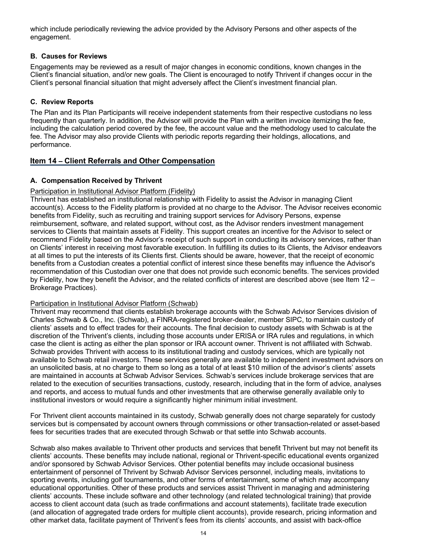which include periodically reviewing the advice provided by the Advisory Persons and other aspects of the engagement.

### **B. Causes for Reviews**

Engagements may be reviewed as a result of major changes in economic conditions, known changes in the Client's financial situation, and/or new goals. The Client is encouraged to notify Thrivent if changes occur in the Client's personal financial situation that might adversely affect the Client's investment financial plan.

### **C. Review Reports**

The Plan and its Plan Participants will receive independent statements from their respective custodians no less frequently than quarterly. In addition, the Advisor will provide the Plan with a written invoice itemizing the fee, including the calculation period covered by the fee, the account value and the methodology used to calculate the fee. The Advisor may also provide Clients with periodic reports regarding their holdings, allocations, and performance.

### **Item 14 – Client Referrals and Other Compensation**

### **A. Compensation Received by Thrivent**

### Participation in Institutional Advisor Platform (Fidelity)

Thrivent has established an institutional relationship with Fidelity to assist the Advisor in managing Client account(s). Access to the Fidelity platform is provided at no charge to the Advisor. The Advisor receives economic benefits from Fidelity, such as recruiting and training support services for Advisory Persons, expense reimbursement, software, and related support, without cost, as the Advisor renders investment management services to Clients that maintain assets at Fidelity. This support creates an incentive for the Advisor to select or recommend Fidelity based on the Advisor's receipt of such support in conducting its advisory services, rather than on Clients' interest in receiving most favorable execution. In fulfilling its duties to its Clients, the Advisor endeavors at all times to put the interests of its Clients first. Clients should be aware, however, that the receipt of economic benefits from a Custodian creates a potential conflict of interest since these benefits may influence the Advisor's recommendation of this Custodian over one that does not provide such economic benefits. The services provided by Fidelity, how they benefit the Advisor, and the related conflicts of interest are described above (see Item 12 – Brokerage Practices).

### Participation in Institutional Advisor Platform (Schwab)

Thrivent may recommend that clients establish brokerage accounts with the Schwab Advisor Services division of Charles Schwab & Co., Inc. (Schwab), a FINRA-registered broker-dealer, member SIPC, to maintain custody of clients' assets and to effect trades for their accounts. The final decision to custody assets with Schwab is at the discretion of the Thrivent's clients, including those accounts under ERISA or IRA rules and regulations, in which case the client is acting as either the plan sponsor or IRA account owner. Thrivent is not affiliated with Schwab. Schwab provides Thrivent with access to its institutional trading and custody services, which are typically not available to Schwab retail investors. These services generally are available to independent investment advisors on an unsolicited basis, at no charge to them so long as a total of at least \$10 million of the advisor's clients' assets are maintained in accounts at Schwab Advisor Services. Schwab's services include brokerage services that are related to the execution of securities transactions, custody, research, including that in the form of advice, analyses and reports, and access to mutual funds and other investments that are otherwise generally available only to institutional investors or would require a significantly higher minimum initial investment.

For Thrivent client accounts maintained in its custody, Schwab generally does not charge separately for custody services but is compensated by account owners through commissions or other transaction-related or asset-based fees for securities trades that are executed through Schwab or that settle into Schwab accounts.

Schwab also makes available to Thrivent other products and services that benefit Thrivent but may not benefit its clients' accounts. These benefits may include national, regional or Thrivent-specific educational events organized and/or sponsored by Schwab Advisor Services. Other potential benefits may include occasional business entertainment of personnel of Thrivent by Schwab Advisor Services personnel, including meals, invitations to sporting events, including golf tournaments, and other forms of entertainment, some of which may accompany educational opportunities. Other of these products and services assist Thrivent in managing and administering clients' accounts. These include software and other technology (and related technological training) that provide access to client account data (such as trade confirmations and account statements), facilitate trade execution (and allocation of aggregated trade orders for multiple client accounts), provide research, pricing information and other market data, facilitate payment of Thrivent's fees from its clients' accounts, and assist with back-office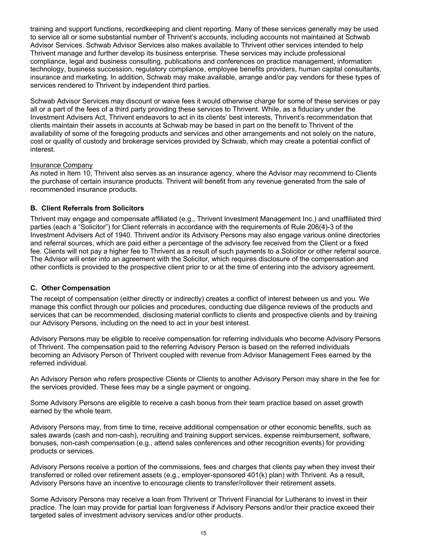training and support functions, recordkeeping and client reporting. Many of these services generally may be used to service all or some substantial number of Thrivent's accounts, including accounts not maintained at Schwab Advisor Services. Schwab Advisor Services also makes available to Thrivent other services intended to help Thrivent manage and further develop its business enterprise. These services may include professional compliance, legal and business consulting, publications and conferences on practice management, information technology, business succession, regulatory compliance, employee benefits providers, human capital consultants, insurance and marketing. In addition, Schwab may make available, arrange and/or pay vendors for these types of services rendered to Thrivent by independent third parties.

Schwab Advisor Services may discount or waive fees it would otherwise charge for some of these services or pay all or a part of the fees of a third party providing these services to Thrivent. While, as a fiduciary under the Investment Advisers Act, Thrivent endeavors to act in its clients' best interests, Thrivent's recommendation that clients maintain their assets in accounts at Schwab may be based in part on the benefit to Thrivent of the availability of some of the foregoing products and services and other arrangements and not solely on the nature, cost or quality of custody and brokerage services provided by Schwab, which may create a potential conflict of interest.

### Insurance Company

As noted in Item 10, Thrivent also serves as an insurance agency, where the Advisor may recommend to Clients the purchase of certain insurance products. Thrivent will benefit from any revenue generated from the sale of recommended insurance products.

### **B. Client Referrals from Solicitors**

Thrivent may engage and compensate affiliated (e.g., Thrivent Investment Management Inc.) and unaffiliated third parties (each a "Solicitor") for Client referrals in accordance with the requirements of Rule 206(4)-3 of the Investment Advisers Act of 1940. Thrivent and/or its Advisory Persons may also engage various online directories and referral sources, which are paid either a percentage of the advisory fee received from the Client or a fixed fee. Clients will not pay a higher fee to Thrivent as a result of such payments to a Solicitor or other referral source. The Advisor will enter into an agreement with the Solicitor, which requires disclosure of the compensation and other conflicts is provided to the prospective client prior to or at the time of entering into the advisory agreement.

### **C. Other Compensation**

The receipt of compensation (either directly or indirectly) creates a conflict of interest between us and you. We manage this conflict through our policies and procedures, conducting due diligence reviews of the products and services that can be recommended, disclosing material conflicts to clients and prospective clients and by training our Advisory Persons, including on the need to act in your best interest.

Advisory Persons may be eligible to receive compensation for referring individuals who become Advisory Persons of Thrivent. The compensation paid to the referring Advisory Person is based on the referred individuals becoming an Advisory Person of Thrivent coupled with revenue from Advisor Management Fees earned by the referred individual.

An Advisory Person who refers prospective Clients or Clients to another Advisory Person may share in the fee for the services provided. These fees may be a single payment or ongoing.

Some Advisory Persons are eligible to receive a cash bonus from their team practice based on asset growth earned by the whole team.

Advisory Persons may, from time to time, receive additional compensation or other economic benefits, such as sales awards (cash and non-cash), recruiting and training support services, expense reimbursement, software, bonuses, non-cash compensation (e.g., attend sales conferences and other recognition events) for providing products or services.

Advisory Persons receive a portion of the commissions, fees and charges that clients pay when they invest their transferred or rolled over retirement assets (e.g., employer-sponsored 401(k) plan) with Thrivent. As a result, Advisory Persons have an incentive to encourage clients to transfer/rollover their retirement assets.

Some Advisory Persons may receive a loan from Thrivent or Thrivent Financial for Lutherans to invest in their practice. The loan may provide for partial loan forgiveness if Advisory Persons and/or their practice exceed their targeted sales of investment advisory services and/or other products.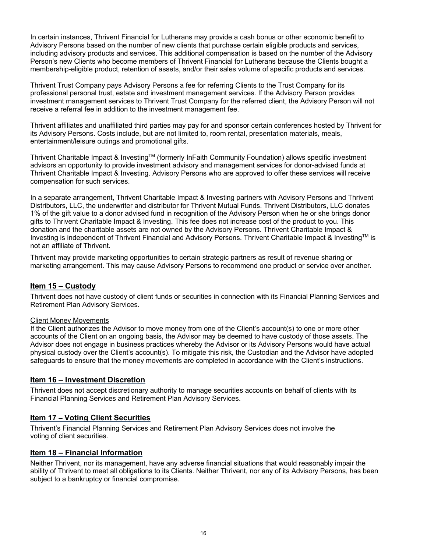In certain instances, Thrivent Financial for Lutherans may provide a cash bonus or other economic benefit to Advisory Persons based on the number of new clients that purchase certain eligible products and services, including advisory products and services. This additional compensation is based on the number of the Advisory Person's new Clients who become members of Thrivent Financial for Lutherans because the Clients bought a membership-eligible product, retention of assets, and/or their sales volume of specific products and services.

Thrivent Trust Company pays Advisory Persons a fee for referring Clients to the Trust Company for its professional personal trust, estate and investment management services. If the Advisory Person provides investment management services to Thrivent Trust Company for the referred client, the Advisory Person will not receive a referral fee in addition to the investment management fee.

Thrivent affiliates and unaffiliated third parties may pay for and sponsor certain conferences hosted by Thrivent for its Advisory Persons. Costs include, but are not limited to, room rental, presentation materials, meals, entertainment/leisure outings and promotional gifts.

Thrivent Charitable Impact & Investing™ (formerly InFaith Community Foundation) allows specific investment advisors an opportunity to provide investment advisory and management services for donor-advised funds at Thrivent Charitable Impact & Investing. Advisory Persons who are approved to offer these services will receive compensation for such services.

In a separate arrangement, Thrivent Charitable Impact & Investing partners with Advisory Persons and Thrivent Distributors, LLC, the underwriter and distributor for Thrivent Mutual Funds. Thrivent Distributors, LLC donates 1% of the gift value to a donor advised fund in recognition of the Advisory Person when he or she brings donor gifts to Thrivent Charitable Impact & Investing. This fee does not increase cost of the product to you. This donation and the charitable assets are not owned by the Advisory Persons. Thrivent Charitable Impact & Investing is independent of Thrivent Financial and Advisory Persons. Thrivent Charitable Impact & InvestingTM is not an affiliate of Thrivent.

Thrivent may provide marketing opportunities to certain strategic partners as result of revenue sharing or marketing arrangement. This may cause Advisory Persons to recommend one product or service over another.

### **Item 15 – Custody**

Thrivent does not have custody of client funds or securities in connection with its Financial Planning Services and Retirement Plan Advisory Services.

### Client Money Movements

If the Client authorizes the Advisor to move money from one of the Client's account(s) to one or more other accounts of the Client on an ongoing basis, the Advisor may be deemed to have custody of those assets. The Advisor does not engage in business practices whereby the Advisor or its Advisory Persons would have actual physical custody over the Client's account(s). To mitigate this risk, the Custodian and the Advisor have adopted safeguards to ensure that the money movements are completed in accordance with the Client's instructions.

### **Item 16 – Investment Discretion**

Thrivent does not accept discretionary authority to manage securities accounts on behalf of clients with its Financial Planning Services and Retirement Plan Advisory Services.

### **Item 17 – Voting Client Securities**

Thrivent's Financial Planning Services and Retirement Plan Advisory Services does not involve the voting of client securities.

### **Item 18 – Financial Information**

Neither Thrivent, nor its management, have any adverse financial situations that would reasonably impair the ability of Thrivent to meet all obligations to its Clients. Neither Thrivent, nor any of its Advisory Persons, has been subject to a bankruptcy or financial compromise.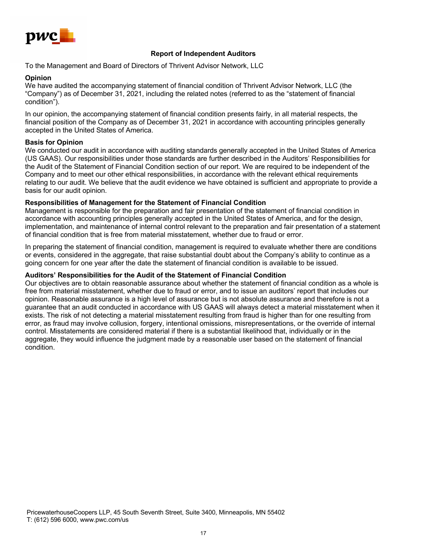

### **Report of Independent Auditors**

To the Management and Board of Directors of Thrivent Advisor Network, LLC

#### **Opinion**

We have audited the accompanying statement of financial condition of Thrivent Advisor Network, LLC (the "Company") as of December 31, 2021, including the related notes (referred to as the "statement of financial condition").

In our opinion, the accompanying statement of financial condition presents fairly, in all material respects, the financial position of the Company as of December 31, 2021 in accordance with accounting principles generally accepted in the United States of America.

### **Basis for Opinion**

We conducted our audit in accordance with auditing standards generally accepted in the United States of America (US GAAS). Our responsibilities under those standards are further described in the Auditors' Responsibilities for the Audit of the Statement of Financial Condition section of our report. We are required to be independent of the Company and to meet our other ethical responsibilities, in accordance with the relevant ethical requirements relating to our audit. We believe that the audit evidence we have obtained is sufficient and appropriate to provide a basis for our audit opinion.

#### **Responsibilities of Management for the Statement of Financial Condition**

Management is responsible for the preparation and fair presentation of the statement of financial condition in accordance with accounting principles generally accepted in the United States of America, and for the design, implementation, and maintenance of internal control relevant to the preparation and fair presentation of a statement of financial condition that is free from material misstatement, whether due to fraud or error.

In preparing the statement of financial condition, management is required to evaluate whether there are conditions or events, considered in the aggregate, that raise substantial doubt about the Company's ability to continue as a going concern for one year after the date the statement of financial condition is available to be issued.

#### **Auditors' Responsibilities for the Audit of the Statement of Financial Condition**

Our objectives are to obtain reasonable assurance about whether the statement of financial condition as a whole is free from material misstatement, whether due to fraud or error, and to issue an auditors' report that includes our opinion. Reasonable assurance is a high level of assurance but is not absolute assurance and therefore is not a guarantee that an audit conducted in accordance with US GAAS will always detect a material misstatement when it exists. The risk of not detecting a material misstatement resulting from fraud is higher than for one resulting from error, as fraud may involve collusion, forgery, intentional omissions, misrepresentations, or the override of internal control. Misstatements are considered material if there is a substantial likelihood that, individually or in the aggregate, they would influence the judgment made by a reasonable user based on the statement of financial condition.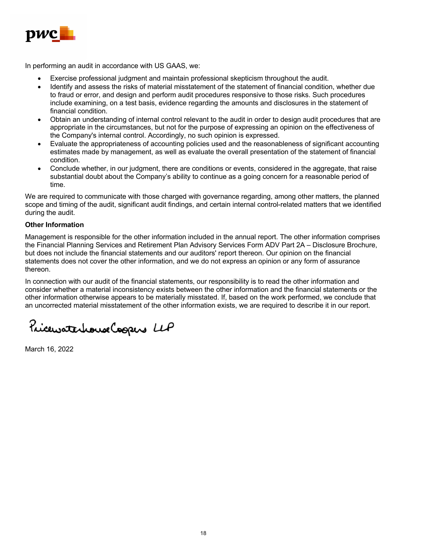

In performing an audit in accordance with US GAAS, we:

- Exercise professional judgment and maintain professional skepticism throughout the audit.
- Identify and assess the risks of material misstatement of the statement of financial condition, whether due to fraud or error, and design and perform audit procedures responsive to those risks. Such procedures include examining, on a test basis, evidence regarding the amounts and disclosures in the statement of financial condition.
- Obtain an understanding of internal control relevant to the audit in order to design audit procedures that are appropriate in the circumstances, but not for the purpose of expressing an opinion on the effectiveness of the Company's internal control. Accordingly, no such opinion is expressed.
- Evaluate the appropriateness of accounting policies used and the reasonableness of significant accounting estimates made by management, as well as evaluate the overall presentation of the statement of financial condition.
- Conclude whether, in our judgment, there are conditions or events, considered in the aggregate, that raise substantial doubt about the Company's ability to continue as a going concern for a reasonable period of time.

We are required to communicate with those charged with governance regarding, among other matters, the planned scope and timing of the audit, significant audit findings, and certain internal control-related matters that we identified during the audit.

### **Other Information**

Management is responsible for the other information included in the annual report. The other information comprises the Financial Planning Services and Retirement Plan Advisory Services Form ADV Part 2A – Disclosure Brochure, but does not include the financial statements and our auditors' report thereon. Our opinion on the financial statements does not cover the other information, and we do not express an opinion or any form of assurance thereon.

In connection with our audit of the financial statements, our responsibility is to read the other information and consider whether a material inconsistency exists between the other information and the financial statements or the other information otherwise appears to be materially misstated. If, based on the work performed, we conclude that an uncorrected material misstatement of the other information exists, we are required to describe it in our report.

PricewaterhouseCoopers LLP

March 16, 2022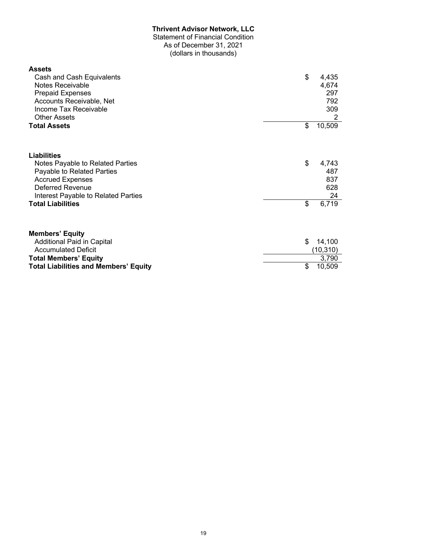### **Thrivent Advisor Network, LLC**

Statement of Financial Condition As of December 31, 2021

(dollars in thousands)

| <b>Assets</b><br>Cash and Cash Equivalents<br><b>Notes Receivable</b><br><b>Prepaid Expenses</b><br>Accounts Receivable, Net<br>Income Tax Receivable<br><b>Other Assets</b>                    | \$       | 4,435<br>4,674<br>297<br>792<br>309<br>2  |
|-------------------------------------------------------------------------------------------------------------------------------------------------------------------------------------------------|----------|-------------------------------------------|
| <b>Total Assets</b>                                                                                                                                                                             | \$       | 10,509                                    |
| Liabilities<br>Notes Payable to Related Parties<br>Payable to Related Parties<br><b>Accrued Expenses</b><br>Deferred Revenue<br>Interest Payable to Related Parties<br><b>Total Liabilities</b> | \$<br>\$ | 4,743<br>487<br>837<br>628<br>24<br>6,719 |
| <b>Members' Equity</b><br>Additional Paid in Capital<br><b>Accumulated Deficit</b><br><b>Total Members' Equity</b><br><b>Total Liabilities and Members' Equity</b>                              | \$<br>\$ | 14,100<br>(10, 310)<br>3,790<br>10,509    |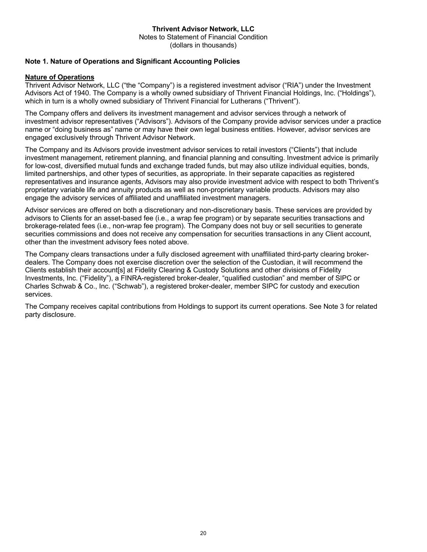### **Thrivent Advisor Network, LLC** Notes to Statement of Financial Condition (dollars in thousands)

### **Note 1. Nature of Operations and Significant Accounting Policies**

### **Nature of Operations**

Thrivent Advisor Network, LLC ("the "Company") is a registered investment advisor ("RIA") under the Investment Advisors Act of 1940. The Company is a wholly owned subsidiary of Thrivent Financial Holdings, Inc. ("Holdings"), which in turn is a wholly owned subsidiary of Thrivent Financial for Lutherans ("Thrivent").

The Company offers and delivers its investment management and advisor services through a network of investment advisor representatives ("Advisors"). Advisors of the Company provide advisor services under a practice name or "doing business as" name or may have their own legal business entities. However, advisor services are engaged exclusively through Thrivent Advisor Network.

The Company and its Advisors provide investment advisor services to retail investors ("Clients") that include investment management, retirement planning, and financial planning and consulting. Investment advice is primarily for low-cost, diversified mutual funds and exchange traded funds, but may also utilize individual equities, bonds, limited partnerships, and other types of securities, as appropriate. In their separate capacities as registered representatives and insurance agents, Advisors may also provide investment advice with respect to both Thrivent's proprietary variable life and annuity products as well as non-proprietary variable products. Advisors may also engage the advisory services of affiliated and unaffiliated investment managers.

Advisor services are offered on both a discretionary and non-discretionary basis. These services are provided by advisors to Clients for an asset-based fee (i.e., a wrap fee program) or by separate securities transactions and brokerage-related fees (i.e., non-wrap fee program). The Company does not buy or sell securities to generate securities commissions and does not receive any compensation for securities transactions in any Client account, other than the investment advisory fees noted above.

The Company clears transactions under a fully disclosed agreement with unaffiliated third-party clearing brokerdealers. The Company does not exercise discretion over the selection of the Custodian, it will recommend the Clients establish their account[s] at Fidelity Clearing & Custody Solutions and other divisions of Fidelity Investments, Inc. ("Fidelity"), a FINRA-registered broker-dealer, "qualified custodian" and member of SIPC or Charles Schwab & Co., Inc. ("Schwab"), a registered broker-dealer, member SIPC for custody and execution services.

The Company receives capital contributions from Holdings to support its current operations. See Note 3 for related party disclosure.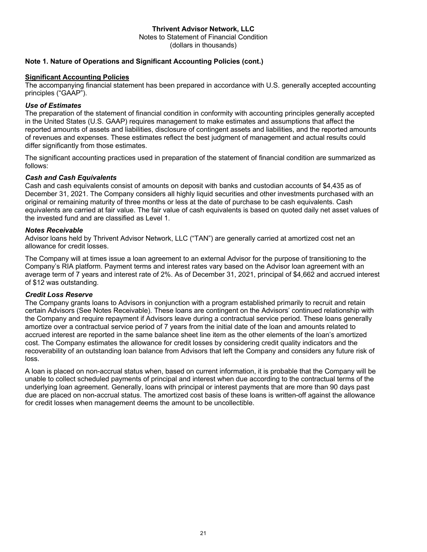### **Thrivent Advisor Network, LLC**

Notes to Statement of Financial Condition (dollars in thousands)

### **Note 1. Nature of Operations and Significant Accounting Policies (cont.)**

### **Significant Accounting Policies**

The accompanying financial statement has been prepared in accordance with U.S. generally accepted accounting principles ("GAAP").

### *Use of Estimates*

The preparation of the statement of financial condition in conformity with accounting principles generally accepted in the United States (U.S. GAAP) requires management to make estimates and assumptions that affect the reported amounts of assets and liabilities, disclosure of contingent assets and liabilities, and the reported amounts of revenues and expenses. These estimates reflect the best judgment of management and actual results could differ significantly from those estimates.

The significant accounting practices used in preparation of the statement of financial condition are summarized as follows:

### *Cash and Cash Equivalents*

Cash and cash equivalents consist of amounts on deposit with banks and custodian accounts of \$4,435 as of December 31, 2021. The Company considers all highly liquid securities and other investments purchased with an original or remaining maturity of three months or less at the date of purchase to be cash equivalents. Cash equivalents are carried at fair value. The fair value of cash equivalents is based on quoted daily net asset values of the invested fund and are classified as Level 1.

### *Notes Receivable*

Advisor loans held by Thrivent Advisor Network, LLC ("TAN") are generally carried at amortized cost net an allowance for credit losses.

The Company will at times issue a loan agreement to an external Advisor for the purpose of transitioning to the Company's RIA platform. Payment terms and interest rates vary based on the Advisor loan agreement with an average term of 7 years and interest rate of 2%. As of December 31, 2021, principal of \$4,662 and accrued interest of \$12 was outstanding.

### *Credit Loss Reserve*

The Company grants loans to Advisors in conjunction with a program established primarily to recruit and retain certain Advisors (See Notes Receivable). These loans are contingent on the Advisors' continued relationship with the Company and require repayment if Advisors leave during a contractual service period. These loans generally amortize over a contractual service period of 7 years from the initial date of the loan and amounts related to accrued interest are reported in the same balance sheet line item as the other elements of the loan's amortized cost. The Company estimates the allowance for credit losses by considering credit quality indicators and the recoverability of an outstanding loan balance from Advisors that left the Company and considers any future risk of loss.

A loan is placed on non-accrual status when, based on current information, it is probable that the Company will be unable to collect scheduled payments of principal and interest when due according to the contractual terms of the underlying loan agreement. Generally, loans with principal or interest payments that are more than 90 days past due are placed on non-accrual status. The amortized cost basis of these loans is written-off against the allowance for credit losses when management deems the amount to be uncollectible.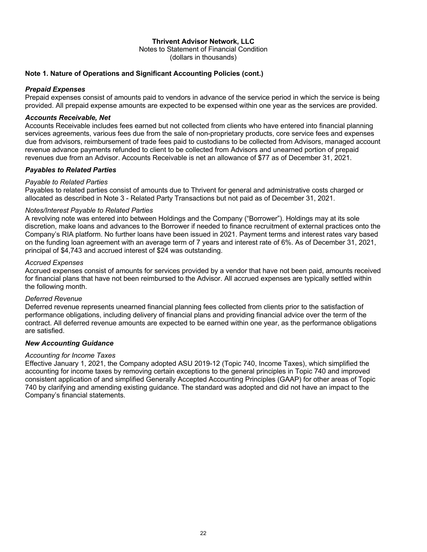### **Thrivent Advisor Network, LLC**

Notes to Statement of Financial Condition (dollars in thousands)

### **Note 1. Nature of Operations and Significant Accounting Policies (cont.)**

### *Prepaid Expenses*

Prepaid expenses consist of amounts paid to vendors in advance of the service period in which the service is being provided. All prepaid expense amounts are expected to be expensed within one year as the services are provided.

### *Accounts Receivable, Net*

Accounts Receivable includes fees earned but not collected from clients who have entered into financial planning services agreements, various fees due from the sale of non-proprietary products, core service fees and expenses due from advisors, reimbursement of trade fees paid to custodians to be collected from Advisors, managed account revenue advance payments refunded to client to be collected from Advisors and unearned portion of prepaid revenues due from an Advisor. Accounts Receivable is net an allowance of \$77 as of December 31, 2021.

### *Payables to Related Parties*

### *Payable to Related Parties*

Payables to related parties consist of amounts due to Thrivent for general and administrative costs charged or allocated as described in Note 3 - Related Party Transactions but not paid as of December 31, 2021.

### *Notes/Interest Payable to Related Parties*

A revolving note was entered into between Holdings and the Company ("Borrower"). Holdings may at its sole discretion, make loans and advances to the Borrower if needed to finance recruitment of external practices onto the Company's RIA platform. No further loans have been issued in 2021. Payment terms and interest rates vary based on the funding loan agreement with an average term of 7 years and interest rate of 6%. As of December 31, 2021, principal of \$4,743 and accrued interest of \$24 was outstanding.

### *Accrued Expenses*

Accrued expenses consist of amounts for services provided by a vendor that have not been paid, amounts received for financial plans that have not been reimbursed to the Advisor. All accrued expenses are typically settled within the following month.

### *Deferred Revenue*

Deferred revenue represents unearned financial planning fees collected from clients prior to the satisfaction of performance obligations, including delivery of financial plans and providing financial advice over the term of the contract. All deferred revenue amounts are expected to be earned within one year, as the performance obligations are satisfied.

### *New Accounting Guidance*

### *Accounting for Income Taxes*

Effective January 1, 2021, the Company adopted ASU 2019-12 (Topic 740, Income Taxes), which simplified the accounting for income taxes by removing certain exceptions to the general principles in Topic 740 and improved consistent application of and simplified Generally Accepted Accounting Principles (GAAP) for other areas of Topic 740 by clarifying and amending existing guidance. The standard was adopted and did not have an impact to the Company's financial statements.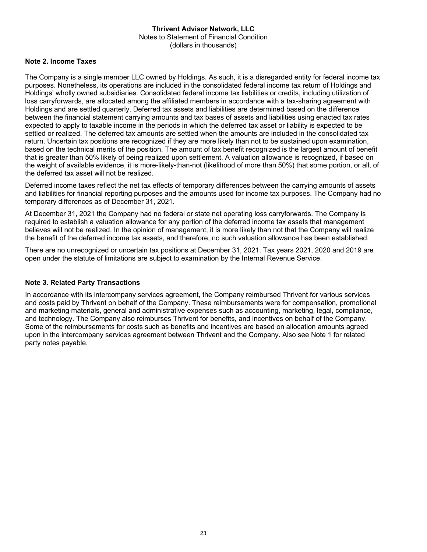### **Thrivent Advisor Network, LLC** Notes to Statement of Financial Condition (dollars in thousands)

### **Note 2. Income Taxes**

The Company is a single member LLC owned by Holdings. As such, it is a disregarded entity for federal income tax purposes. Nonetheless, its operations are included in the consolidated federal income tax return of Holdings and Holdings' wholly owned subsidiaries. Consolidated federal income tax liabilities or credits, including utilization of loss carryforwards, are allocated among the affiliated members in accordance with a tax-sharing agreement with Holdings and are settled quarterly. Deferred tax assets and liabilities are determined based on the difference between the financial statement carrying amounts and tax bases of assets and liabilities using enacted tax rates expected to apply to taxable income in the periods in which the deferred tax asset or liability is expected to be settled or realized. The deferred tax amounts are settled when the amounts are included in the consolidated tax return. Uncertain tax positions are recognized if they are more likely than not to be sustained upon examination, based on the technical merits of the position. The amount of tax benefit recognized is the largest amount of benefit that is greater than 50% likely of being realized upon settlement. A valuation allowance is recognized, if based on the weight of available evidence, it is more-likely-than-not (likelihood of more than 50%) that some portion, or all, of the deferred tax asset will not be realized.

Deferred income taxes reflect the net tax effects of temporary differences between the carrying amounts of assets and liabilities for financial reporting purposes and the amounts used for income tax purposes. The Company had no temporary differences as of December 31, 2021.

At December 31, 2021 the Company had no federal or state net operating loss carryforwards. The Company is required to establish a valuation allowance for any portion of the deferred income tax assets that management believes will not be realized. In the opinion of management, it is more likely than not that the Company will realize the benefit of the deferred income tax assets, and therefore, no such valuation allowance has been established.

There are no unrecognized or uncertain tax positions at December 31, 2021. Tax years 2021, 2020 and 2019 are open under the statute of limitations are subject to examination by the Internal Revenue Service.

### **Note 3. Related Party Transactions**

In accordance with its intercompany services agreement, the Company reimbursed Thrivent for various services and costs paid by Thrivent on behalf of the Company. These reimbursements were for compensation, promotional and marketing materials, general and administrative expenses such as accounting, marketing, legal, compliance, and technology. The Company also reimburses Thrivent for benefits, and incentives on behalf of the Company. Some of the reimbursements for costs such as benefits and incentives are based on allocation amounts agreed upon in the intercompany services agreement between Thrivent and the Company. Also see Note 1 for related party notes payable.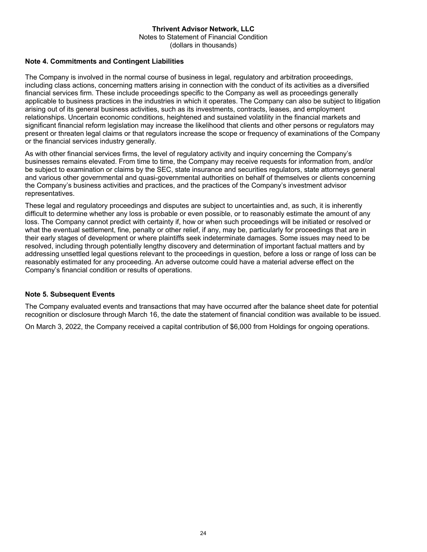### **Thrivent Advisor Network, LLC** Notes to Statement of Financial Condition (dollars in thousands)

### **Note 4. Commitments and Contingent Liabilities**

The Company is involved in the normal course of business in legal, regulatory and arbitration proceedings, including class actions, concerning matters arising in connection with the conduct of its activities as a diversified financial services firm. These include proceedings specific to the Company as well as proceedings generally applicable to business practices in the industries in which it operates. The Company can also be subject to litigation arising out of its general business activities, such as its investments, contracts, leases, and employment relationships. Uncertain economic conditions, heightened and sustained volatility in the financial markets and significant financial reform legislation may increase the likelihood that clients and other persons or regulators may present or threaten legal claims or that regulators increase the scope or frequency of examinations of the Company or the financial services industry generally.

As with other financial services firms, the level of regulatory activity and inquiry concerning the Company's businesses remains elevated. From time to time, the Company may receive requests for information from, and/or be subject to examination or claims by the SEC, state insurance and securities regulators, state attorneys general and various other governmental and quasi-governmental authorities on behalf of themselves or clients concerning the Company's business activities and practices, and the practices of the Company's investment advisor representatives.

These legal and regulatory proceedings and disputes are subject to uncertainties and, as such, it is inherently difficult to determine whether any loss is probable or even possible, or to reasonably estimate the amount of any loss. The Company cannot predict with certainty if, how or when such proceedings will be initiated or resolved or what the eventual settlement, fine, penalty or other relief, if any, may be, particularly for proceedings that are in their early stages of development or where plaintiffs seek indeterminate damages. Some issues may need to be resolved, including through potentially lengthy discovery and determination of important factual matters and by addressing unsettled legal questions relevant to the proceedings in question, before a loss or range of loss can be reasonably estimated for any proceeding. An adverse outcome could have a material adverse effect on the Company's financial condition or results of operations.

### **Note 5. Subsequent Events**

The Company evaluated events and transactions that may have occurred after the balance sheet date for potential recognition or disclosure through March 16, the date the statement of financial condition was available to be issued.

On March 3, 2022, the Company received a capital contribution of \$6,000 from Holdings for ongoing operations.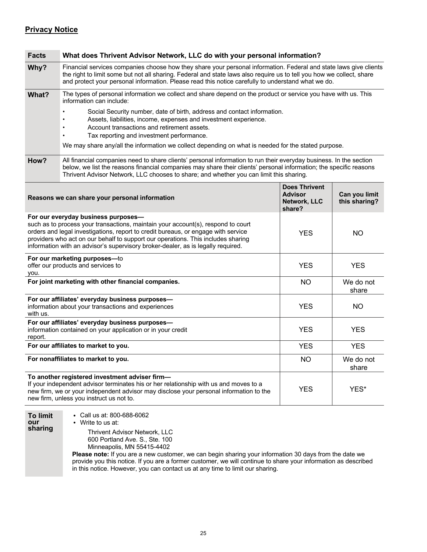### **Privacy Notice**

| <b>Facts</b>                                                                                                                                                                                                                                                                                                                                                                                              | What does Thrivent Advisor Network, LLC do with your personal information?                                                                                                                                                                                                                                                                       |                                                                  |                                |
|-----------------------------------------------------------------------------------------------------------------------------------------------------------------------------------------------------------------------------------------------------------------------------------------------------------------------------------------------------------------------------------------------------------|--------------------------------------------------------------------------------------------------------------------------------------------------------------------------------------------------------------------------------------------------------------------------------------------------------------------------------------------------|------------------------------------------------------------------|--------------------------------|
| Why?                                                                                                                                                                                                                                                                                                                                                                                                      | Financial services companies choose how they share your personal information. Federal and state laws give clients<br>the right to limit some but not all sharing. Federal and state laws also require us to tell you how we collect, share<br>and protect your personal information. Please read this notice carefully to understand what we do. |                                                                  |                                |
| What?                                                                                                                                                                                                                                                                                                                                                                                                     | The types of personal information we collect and share depend on the product or service you have with us. This<br>information can include:                                                                                                                                                                                                       |                                                                  |                                |
|                                                                                                                                                                                                                                                                                                                                                                                                           | Social Security number, date of birth, address and contact information.<br>Assets, liabilities, income, expenses and investment experience.<br>Account transactions and retirement assets.<br>٠<br>Tax reporting and investment performance.                                                                                                     |                                                                  |                                |
|                                                                                                                                                                                                                                                                                                                                                                                                           | We may share any/all the information we collect depending on what is needed for the stated purpose.                                                                                                                                                                                                                                              |                                                                  |                                |
| How?                                                                                                                                                                                                                                                                                                                                                                                                      | All financial companies need to share clients' personal information to run their everyday business. In the section<br>below, we list the reasons financial companies may share their clients' personal information; the specific reasons<br>Thrivent Advisor Network, LLC chooses to share; and whether you can limit this sharing.              |                                                                  |                                |
|                                                                                                                                                                                                                                                                                                                                                                                                           | Reasons we can share your personal information                                                                                                                                                                                                                                                                                                   | <b>Does Thrivent</b><br><b>Advisor</b><br>Network, LLC<br>share? | Can you limit<br>this sharing? |
| For our everyday business purposes-<br>such as to process your transactions, maintain your account(s), respond to court<br>orders and legal investigations, report to credit bureaus, or engage with service<br><b>YES</b><br>NO.<br>providers who act on our behalf to support our operations. This includes sharing<br>information with an advisor's supervisory broker-dealer, as is legally required. |                                                                                                                                                                                                                                                                                                                                                  |                                                                  |                                |
| For our marketing purposes-to<br>offer our products and services to<br>you.                                                                                                                                                                                                                                                                                                                               |                                                                                                                                                                                                                                                                                                                                                  | <b>YES</b>                                                       | <b>YES</b>                     |
| For joint marketing with other financial companies.                                                                                                                                                                                                                                                                                                                                                       |                                                                                                                                                                                                                                                                                                                                                  | <b>NO</b>                                                        | We do not<br>share             |
| For our affiliates' everyday business purposes-<br>information about your transactions and experiences<br>with us.                                                                                                                                                                                                                                                                                        |                                                                                                                                                                                                                                                                                                                                                  | <b>YES</b>                                                       | NO                             |
| report.                                                                                                                                                                                                                                                                                                                                                                                                   | For our affiliates' everyday business purposes-<br>information contained on your application or in your credit<br><b>YES</b><br><b>YES</b>                                                                                                                                                                                                       |                                                                  |                                |
| For our affiliates to market to you.                                                                                                                                                                                                                                                                                                                                                                      |                                                                                                                                                                                                                                                                                                                                                  | <b>YES</b>                                                       | <b>YES</b>                     |
| For nonaffiliates to market to you.                                                                                                                                                                                                                                                                                                                                                                       |                                                                                                                                                                                                                                                                                                                                                  | <b>NO</b>                                                        | We do not<br>share             |
| To another registered investment adviser firm-<br>If your independent advisor terminates his or her relationship with us and moves to a<br>new firm, we or your independent advisor may disclose your personal information to the<br>new firm, unless you instruct us not to.                                                                                                                             |                                                                                                                                                                                                                                                                                                                                                  | <b>YES</b>                                                       | YES*                           |
| <b>To limit</b><br>our                                                                                                                                                                                                                                                                                                                                                                                    | • Call us at: 800-688-6062<br>Write to us at:                                                                                                                                                                                                                                                                                                    |                                                                  |                                |

**sharing**

Thrivent Advisor Network, LLC 600 Portland Ave. S., Ste. 100 Minneapolis, MN 55415-4402

**Please note:** If you are a new customer, we can begin sharing your information 30 days from the date we provide you this notice. If you are a former customer, we will continue to share your information as described in this notice. However, you can contact us at any time to limit our sharing.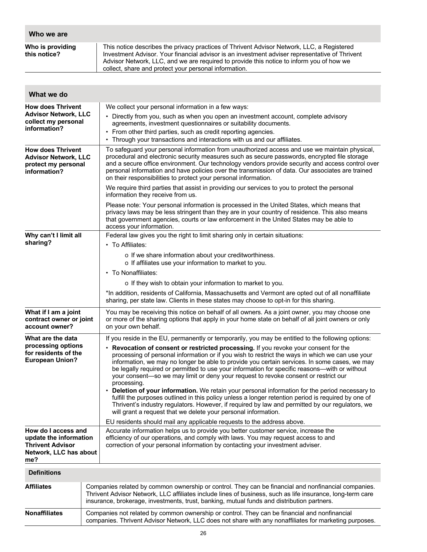| Who we are                                                                                                |                                                                                                                                                                                                                                                                                                                                                                                                                                                                                 |  |  |
|-----------------------------------------------------------------------------------------------------------|---------------------------------------------------------------------------------------------------------------------------------------------------------------------------------------------------------------------------------------------------------------------------------------------------------------------------------------------------------------------------------------------------------------------------------------------------------------------------------|--|--|
| Who is providing<br>this notice?                                                                          | This notice describes the privacy practices of Thrivent Advisor Network, LLC, a Registered<br>Investment Advisor. Your financial advisor is an investment adviser representative of Thrivent<br>Advisor Network, LLC, and we are required to provide this notice to inform you of how we<br>collect, share and protect your personal information.                                                                                                                               |  |  |
|                                                                                                           |                                                                                                                                                                                                                                                                                                                                                                                                                                                                                 |  |  |
| What we do                                                                                                |                                                                                                                                                                                                                                                                                                                                                                                                                                                                                 |  |  |
| <b>How does Thrivent</b>                                                                                  | We collect your personal information in a few ways:                                                                                                                                                                                                                                                                                                                                                                                                                             |  |  |
| <b>Advisor Network, LLC</b><br>collect my personal<br>information?                                        | • Directly from you, such as when you open an investment account, complete advisory<br>agreements, investment questionnaires or suitability documents.<br>• From other third parties, such as credit reporting agencies.<br>• Through your transactions and interactions with us and our affiliates.                                                                                                                                                                            |  |  |
| <b>How does Thrivent</b><br><b>Advisor Network, LLC</b><br>protect my personal<br>information?            | To safeguard your personal information from unauthorized access and use we maintain physical,<br>procedural and electronic security measures such as secure passwords, encrypted file storage<br>and a secure office environment. Our technology vendors provide security and access control over<br>personal information and have policies over the transmission of data. Our associates are trained<br>on their responsibilities to protect your personal information.        |  |  |
|                                                                                                           | We require third parties that assist in providing our services to you to protect the personal<br>information they receive from us.                                                                                                                                                                                                                                                                                                                                              |  |  |
|                                                                                                           | Please note: Your personal information is processed in the United States, which means that<br>privacy laws may be less stringent than they are in your country of residence. This also means<br>that government agencies, courts or law enforcement in the United States may be able to<br>access your information.                                                                                                                                                             |  |  |
| Why can't I limit all<br>sharing?                                                                         | Federal law gives you the right to limit sharing only in certain situations:<br>• To Affiliates:                                                                                                                                                                                                                                                                                                                                                                                |  |  |
|                                                                                                           | o If we share information about your creditworthiness.<br>o If affiliates use your information to market to you.                                                                                                                                                                                                                                                                                                                                                                |  |  |
|                                                                                                           | • To Nonaffiliates:                                                                                                                                                                                                                                                                                                                                                                                                                                                             |  |  |
|                                                                                                           | o If they wish to obtain your information to market to you.                                                                                                                                                                                                                                                                                                                                                                                                                     |  |  |
|                                                                                                           | *In addition, residents of California, Massachusetts and Vermont are opted out of all nonaffiliate<br>sharing, per state law. Clients in these states may choose to opt-in for this sharing.                                                                                                                                                                                                                                                                                    |  |  |
| What if I am a joint<br>contract owner or joint<br>account owner?                                         | You may be receiving this notice on behalf of all owners. As a joint owner, you may choose one<br>or more of the sharing options that apply in your home state on behalf of all joint owners or only<br>on your own behalf.                                                                                                                                                                                                                                                     |  |  |
| What are the data                                                                                         | If you reside in the EU, permanently or temporarily, you may be entitled to the following options:                                                                                                                                                                                                                                                                                                                                                                              |  |  |
| processing options<br>for residents of the<br><b>European Union?</b>                                      | • Revocation of consent or restricted processing. If you revoke your consent for the<br>processing of personal information or if you wish to restrict the ways in which we can use your<br>information, we may no longer be able to provide you certain services. In some cases, we may<br>be legally required or permitted to use your information for specific reasons—with or without<br>your consent—so we may limit or deny your request to revoke consent or restrict our |  |  |
|                                                                                                           | processing.<br>• Deletion of your information. We retain your personal information for the period necessary to<br>fulfill the purposes outlined in this policy unless a longer retention period is required by one of<br>Thrivent's industry regulators. However, if required by law and permitted by our regulators, we<br>will grant a request that we delete your personal information.                                                                                      |  |  |
|                                                                                                           | EU residents should mail any applicable requests to the address above.                                                                                                                                                                                                                                                                                                                                                                                                          |  |  |
| How do I access and<br>update the information<br><b>Thrivent Advisor</b><br>Network, LLC has about<br>me? | Accurate information helps us to provide you better customer service, increase the<br>efficiency of our operations, and comply with laws. You may request access to and<br>correction of your personal information by contacting your investment adviser.                                                                                                                                                                                                                       |  |  |
| <b>Definitions</b>                                                                                        |                                                                                                                                                                                                                                                                                                                                                                                                                                                                                 |  |  |
| <b>Affiliates</b>                                                                                         | Companies related by common ownership or control. They can be financial and nonfinancial companies.<br>Thrivent Advisor Network, LLC affiliates include lines of business, such as life insurance, long-term care<br>insurance, brokerage, investments, trust, banking, mutual funds and distribution partners.                                                                                                                                                                 |  |  |
| <b>Nonaffiliates</b>                                                                                      | Companies not related by common ownership or control. They can be financial and nonfinancial<br>companies. Thrivent Advisor Network, LLC does not share with any nonaffiliates for marketing purposes.                                                                                                                                                                                                                                                                          |  |  |